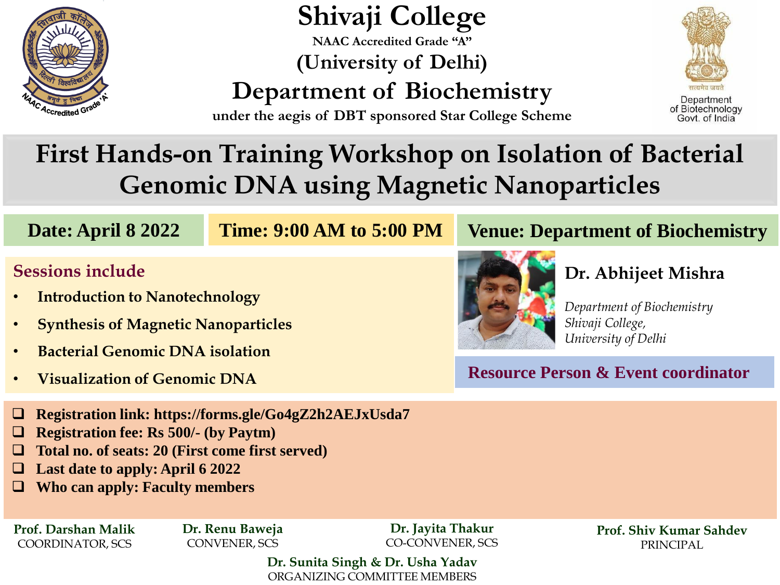

# **Shivaji College**

**NAAC Accredited Grade "A" (University of Delhi)**

**Department of Biochemistry**



**under the aegis of DBT sponsored Star College Scheme** 

## **First Hands-on Training Workshop on Isolation of Bacterial Genomic DNA using Magnetic Nanoparticles**

**Time: 9:00 AM to 5:00 PM**

## **Sessions include**

- **Introduction to Nanotechnology**
- **Synthesis of Magnetic Nanoparticles**
- **Bacterial Genomic DNA isolation**
- **Visualization of Genomic DNA**



#### **Date: April 8 2022 Time: 9:00 AM to 5:00 PM** Venue: Department of Biochemistry

### **Dr. Abhijeet Mishra**

*Department of Biochemistry Shivaji College, University of Delhi*

**Resource Person & Event coordinator**

- ❑ **Registration link: https://forms.gle/Go4gZ2h2AEJxUsda7**
- ❑ **Registration fee: Rs 500/- (by Paytm)**
- ❑ **Total no. of seats: 20 (First come first served)**
- ❑ **Last date to apply: April 6 2022**
- ❑ **Who can apply: Faculty members**

**Prof. Darshan Malik** COORDINATOR, SCS

**Dr. Renu Baweja** CONVENER, SCS

**Dr. Jayita Thakur** CO-CONVENER, SCS

**Prof. Shiv Kumar Sahdev** PRINCIPAL

**Dr. Sunita Singh & Dr. Usha Yadav** ORGANIZING COMMITTEE MEMBERS